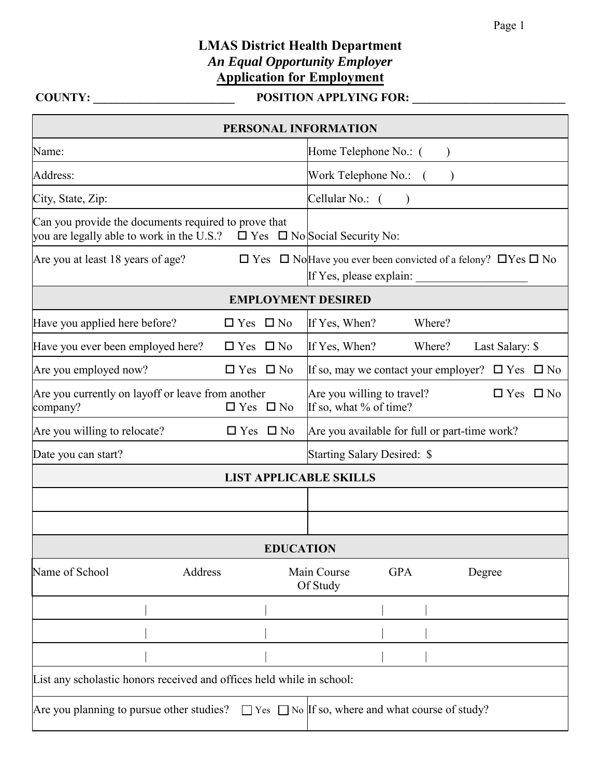## **LMAS District Health Department**  *An Equal Opportunity Employer* **Application for Employment**

## **COUNTY: \_\_\_\_\_\_\_\_\_\_\_\_\_\_\_\_\_\_\_\_\_\_\_\_ POSITION APPLYING FOR: \_\_\_\_\_\_\_\_\_\_\_\_\_\_\_\_\_\_\_\_\_\_\_\_\_\_**

| PERSONAL INFORMATION                                                                                                                             |                      |                              |                                                                                     |  |  |  |
|--------------------------------------------------------------------------------------------------------------------------------------------------|----------------------|------------------------------|-------------------------------------------------------------------------------------|--|--|--|
| Name:                                                                                                                                            |                      |                              | Home Telephone No.: (                                                               |  |  |  |
| Address:                                                                                                                                         |                      | Work Telephone No.: (        |                                                                                     |  |  |  |
| City, State, Zip:                                                                                                                                |                      | Cellular No.: (<br>$\lambda$ |                                                                                     |  |  |  |
| Can you provide the documents required to prove that<br>you are legally able to work in the U.S.? $\square$ Yes $\square$ No Social Security No: |                      |                              |                                                                                     |  |  |  |
| Are you at least 18 years of age?                                                                                                                |                      |                              | $\Box$ Yes $\Box$ No Have you ever been convicted of a felony? $\Box$ Yes $\Box$ No |  |  |  |
| <b>EMPLOYMENT DESIRED</b>                                                                                                                        |                      |                              |                                                                                     |  |  |  |
| Have you applied here before?                                                                                                                    | $\Box$ Yes $\Box$ No |                              | If Yes, When?<br>Where?                                                             |  |  |  |
| Have you ever been employed here?                                                                                                                | $\Box$ Yes $\Box$ No |                              | If Yes, When?<br>Where?<br>Last Salary: \$                                          |  |  |  |
| Are you employed now?                                                                                                                            | $\Box$ Yes $\Box$ No |                              | If so, may we contact your employer? $\Box$ Yes $\Box$ No                           |  |  |  |
| Are you currently on layoff or leave from another<br>company?                                                                                    |                      | $\Box$ Yes $\Box$ No         | Are you willing to travel?<br>$\Box$ Yes $\Box$ No<br>If so, what % of time?        |  |  |  |
| Are you willing to relocate?                                                                                                                     |                      | $\Box$ Yes $\Box$ No         | Are you available for full or part-time work?                                       |  |  |  |
| Date you can start?                                                                                                                              |                      |                              | <b>Starting Salary Desired: \$</b>                                                  |  |  |  |
| <b>LIST APPLICABLE SKILLS</b>                                                                                                                    |                      |                              |                                                                                     |  |  |  |
|                                                                                                                                                  |                      |                              |                                                                                     |  |  |  |
|                                                                                                                                                  |                      |                              |                                                                                     |  |  |  |
| <b>EDUCATION</b>                                                                                                                                 |                      |                              |                                                                                     |  |  |  |
| Name of School<br>Address                                                                                                                        |                      |                              | <b>GPA</b><br>Main Course<br>Degree<br>Of Study                                     |  |  |  |
|                                                                                                                                                  |                      |                              |                                                                                     |  |  |  |
|                                                                                                                                                  |                      |                              |                                                                                     |  |  |  |
|                                                                                                                                                  |                      |                              |                                                                                     |  |  |  |
| List any scholastic honors received and offices held while in school:                                                                            |                      |                              |                                                                                     |  |  |  |
| Are you planning to pursue other studies? $\Box$ Yes $\Box$ No If so, where and what course of study?                                            |                      |                              |                                                                                     |  |  |  |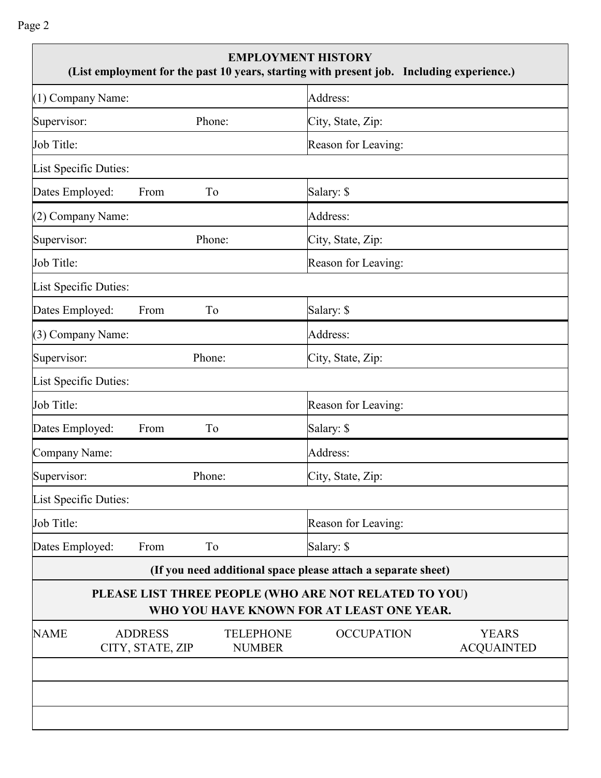Page 2

| <b>EMPLOYMENT HISTORY</b><br>(List employment for the past 10 years, starting with present job. Including experience.) |                                                               |  |  |  |  |  |
|------------------------------------------------------------------------------------------------------------------------|---------------------------------------------------------------|--|--|--|--|--|
| (1) Company Name:                                                                                                      | Address:                                                      |  |  |  |  |  |
| Supervisor:<br>Phone:                                                                                                  | City, State, Zip:                                             |  |  |  |  |  |
| Job Title:                                                                                                             | Reason for Leaving:                                           |  |  |  |  |  |
| List Specific Duties:                                                                                                  |                                                               |  |  |  |  |  |
| Dates Employed:<br>From<br>To                                                                                          | Salary: \$                                                    |  |  |  |  |  |
| (2) Company Name:                                                                                                      | Address:                                                      |  |  |  |  |  |
| Supervisor:<br>Phone:                                                                                                  | City, State, Zip:                                             |  |  |  |  |  |
| Job Title:                                                                                                             | Reason for Leaving:                                           |  |  |  |  |  |
| List Specific Duties:                                                                                                  |                                                               |  |  |  |  |  |
| Dates Employed:<br>From<br>To                                                                                          | Salary: \$                                                    |  |  |  |  |  |
| (3) Company Name:                                                                                                      | Address:                                                      |  |  |  |  |  |
| Supervisor:<br>Phone:                                                                                                  | City, State, Zip:                                             |  |  |  |  |  |
| List Specific Duties:                                                                                                  |                                                               |  |  |  |  |  |
| Job Title:                                                                                                             | Reason for Leaving:                                           |  |  |  |  |  |
| Dates Employed:<br>To<br>From                                                                                          | Salary: \$                                                    |  |  |  |  |  |
| Company Name:                                                                                                          | Address:                                                      |  |  |  |  |  |
| Phone:<br>Supervisor:                                                                                                  | City, State, Zip:                                             |  |  |  |  |  |
| List Specific Duties:                                                                                                  |                                                               |  |  |  |  |  |
| Job Title:                                                                                                             | Reason for Leaving:                                           |  |  |  |  |  |
| Dates Employed:<br>To<br>From                                                                                          | Salary: \$                                                    |  |  |  |  |  |
|                                                                                                                        | (If you need additional space please attach a separate sheet) |  |  |  |  |  |
| PLEASE LIST THREE PEOPLE (WHO ARE NOT RELATED TO YOU)<br>WHO YOU HAVE KNOWN FOR AT LEAST ONE YEAR.                     |                                                               |  |  |  |  |  |
| <b>NAME</b><br><b>ADDRESS</b><br><b>TELEPHONE</b><br>CITY, STATE, ZIP<br><b>NUMBER</b>                                 | <b>OCCUPATION</b><br><b>YEARS</b><br><b>ACQUAINTED</b>        |  |  |  |  |  |
|                                                                                                                        |                                                               |  |  |  |  |  |
|                                                                                                                        |                                                               |  |  |  |  |  |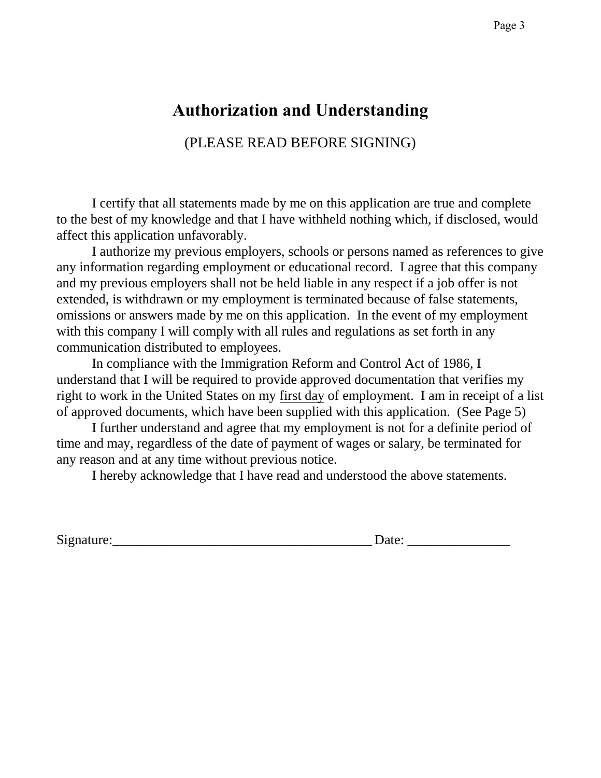# **Authorization and Understanding**

(PLEASE READ BEFORE SIGNING)

I certify that all statements made by me on this application are true and complete to the best of my knowledge and that I have withheld nothing which, if disclosed, would affect this application unfavorably.

I authorize my previous employers, schools or persons named as references to give any information regarding employment or educational record. I agree that this company and my previous employers shall not be held liable in any respect if a job offer is not extended, is withdrawn or my employment is terminated because of false statements, omissions or answers made by me on this application. In the event of my employment with this company I will comply with all rules and regulations as set forth in any communication distributed to employees.

In compliance with the Immigration Reform and Control Act of 1986, I understand that I will be required to provide approved documentation that verifies my right to work in the United States on my first day of employment. I am in receipt of a list of approved documents, which have been supplied with this application. (See Page 5)

I further understand and agree that my employment is not for a definite period of time and may, regardless of the date of payment of wages or salary, be terminated for any reason and at any time without previous notice.

I hereby acknowledge that I have read and understood the above statements.

Signature:\_\_\_\_\_\_\_\_\_\_\_\_\_\_\_\_\_\_\_\_\_\_\_\_\_\_\_\_\_\_\_\_\_\_\_\_\_\_ Date: \_\_\_\_\_\_\_\_\_\_\_\_\_\_\_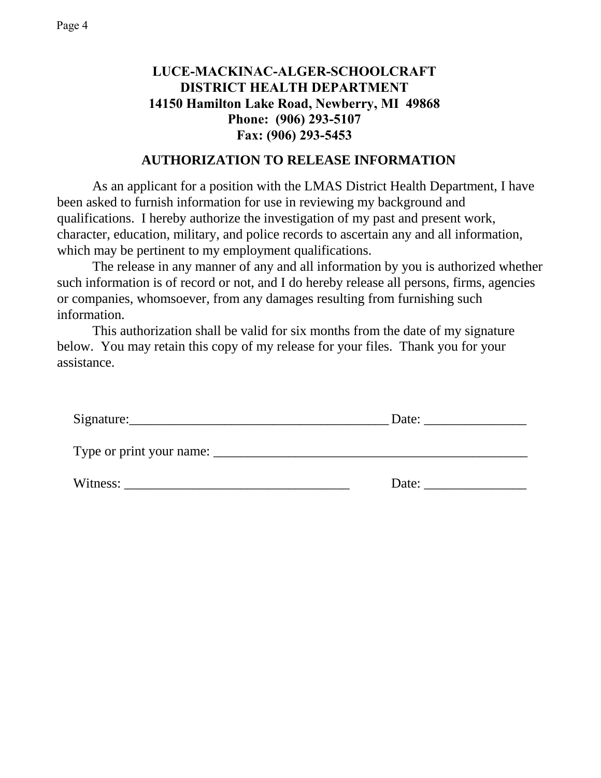## **LUCE-MACKINAC-ALGER-SCHOOLCRAFT DISTRICT HEALTH DEPARTMENT 14150 Hamilton Lake Road, Newberry, MI 49868 Phone: (906) 293-5107 Fax: (906) 293-5453**

### **AUTHORIZATION TO RELEASE INFORMATION**

As an applicant for a position with the LMAS District Health Department, I have been asked to furnish information for use in reviewing my background and qualifications. I hereby authorize the investigation of my past and present work, character, education, military, and police records to ascertain any and all information, which may be pertinent to my employment qualifications.

The release in any manner of any and all information by you is authorized whether such information is of record or not, and I do hereby release all persons, firms, agencies or companies, whomsoever, from any damages resulting from furnishing such information.

This authorization shall be valid for six months from the date of my signature below. You may retain this copy of my release for your files. Thank you for your assistance.

| Signature:               | Date: |
|--------------------------|-------|
| Type or print your name: |       |
| Witness:                 | Date: |